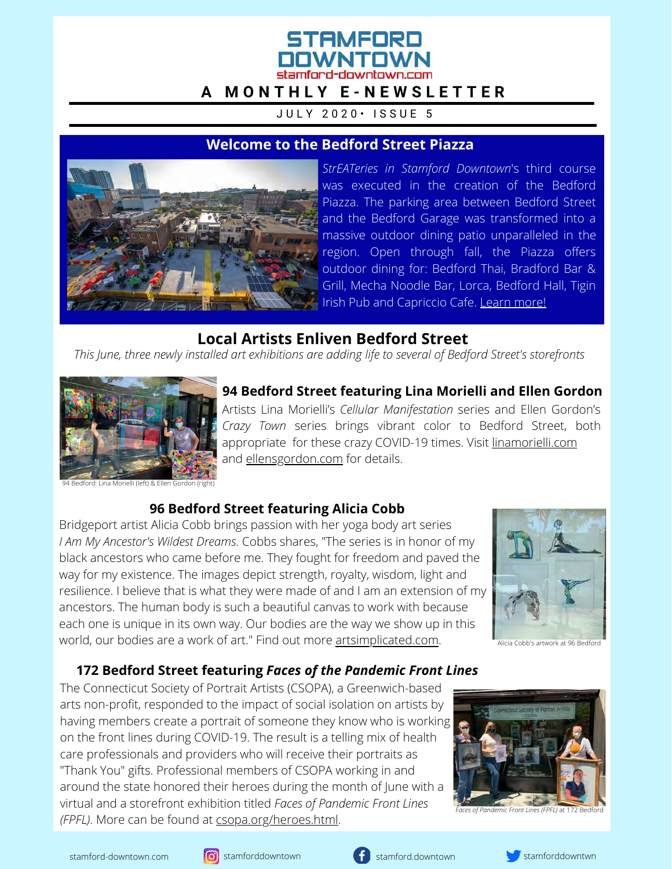# STAMFORD stamford-downtown.com **[A M O N T H L Y E - N E W S L E T T E R](http://csopa.homestead.com/heroes.html)**

JULY 2020 · ISSUE 5

### **Welcome to the Bedford Street Piazza**



*StrEATeries in Stamford Downtown*'s third course was executed in the creation of the Bedford Piazza. The parking area between Bedford Street and the Bedford Garage was transformed into a massive outdoor dining patio unparalleled in the region. Open through fall, the Piazza offers outdoor dining for: Bedford Thai, Bradford Bar & Grill, Mecha Noodle Bar, Lorca, Bedford Hall, Tigin Irish Pub and Capriccio Cafe. [Learn more!](http://stamford-downtown.com/events/streateries-in-stamford-downtown)

## **Local Artists Enliven Bedford Street**

*This June, three newly installed art exhibitions are adding life to several of Bedford Street's storefronts*



Artists Lina Morielli's *Cellular Manifestation* series and Ellen Gordon's **94 Bedford Street featuring Lina Morielli and Ellen Gordon** 

*Crazy Town* series brings vibrant color to Bedford Street, both appropriate for these crazy COVID-19 times. Visit [linamorielli.com](http://linamorielli.com/) and [ellensgordon.com](http://ellensgordon.com/) for details.

94 Bedford: Lina Morielli (left) & Ellen Gordon (right)

### **96 Bedford Street featuring Alicia Cobb**

Bridgeport artist Alicia Cobb brings passion with her yoga body art series *I Am My Ancestor's Wildest Dreams*. Cobbs shares, "The series is in honor of my black ancestors who came before me. They fought for freedom and paved the way for my existence. The images depict strength, royalty, wisdom, light and resilience. I believe that is what they were made of and I am an extension of my ancestors. The human body is such a beautiful canvas to work with because each one is unique in its own way. Our bodies are the way we show up in this world, our bodies are a work of art." Find out more [artsimplicated.com.](https://www.artsimplicated.com/)



Alicia Cobb's artwork at 96 Bedford

### **172 Bedford Street featuring** *Faces of the Pandemic Front Lines*

The Connecticut Society of Portrait Artists (CSOPA), a Greenwich-based arts non-profit, responded to the impact of social isolation on artists by having members create a portrait of someone they know who is working on the front lines during COVID-19. The result is a telling mix of health care professionals and providers who will receive their portraits as "Thank You" gifts. Professional members of CSOPA working in and around the state honored their heroes during the month of June with a virtual and a storefront exhibition titled *Faces of Pandemic Front Lines (FPFL)*. More can be found at csopa.org/heroes.html.



*Faces of Pandemic Front Lines (FPFL)* at 172 Bedford





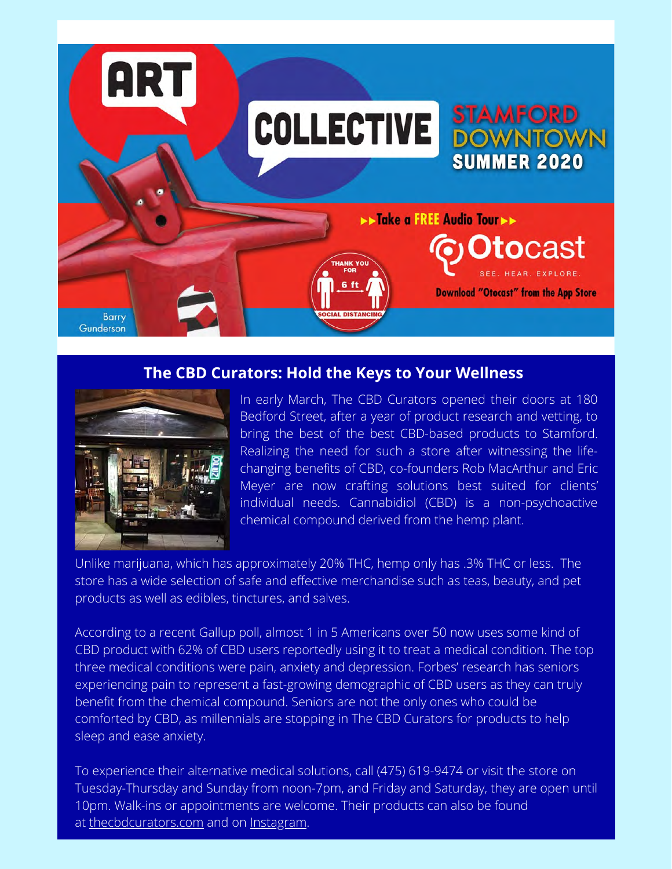

### **The CBD Curators: Hold the Keys to Your Wellness**



In early March, The CBD Curators opened their doors at 180 Bedford Street, after a year of product research and vetting, to bring the best of the best CBD-based products to Stamford. Realizing the need for such a store after witnessing the lifechanging benefits of CBD, co-founders Rob MacArthur and Eric Meyer are now crafting solutions best suited for clients' individual needs. Cannabidiol (CBD) is a non-psychoactive chemical compound derived from the hemp plant.

Unlike marijuana, which has approximately 20% THC, hemp only has .3% THC or less. The store has a wide selection of safe and effective merchandise such as teas, beauty, and pet products as well as edibles, tinctures, and salves.

According to a recent Gallup poll, almost 1 in 5 Americans over 50 now uses some kind of CBD product with 62% of CBD users reportedly using it to treat a medical condition. The top three medical conditions were pain, anxiety and depression. Forbes' research has seniors experiencing pain to represent a fast-growing demographic of CBD users as they can truly benefit from the chemical compound. Seniors are not the only ones who could be comforted by CBD, as millennials are stopping in The CBD Curators for products to help sleep and ease anxiety.

To experience their alternative medical solutions, call (475) 619-9474 or visit the store on Tuesday-Thursday and Sunday from noon-7pm, and Friday and Saturday, they are open until 10pm. Walk-ins or appointments are welcome. Their products can also be found at [thecbdcurators.com](https://thecbdcurators.com/) and on [Instagram.](https://www.instagram.com/thecbdcurators/)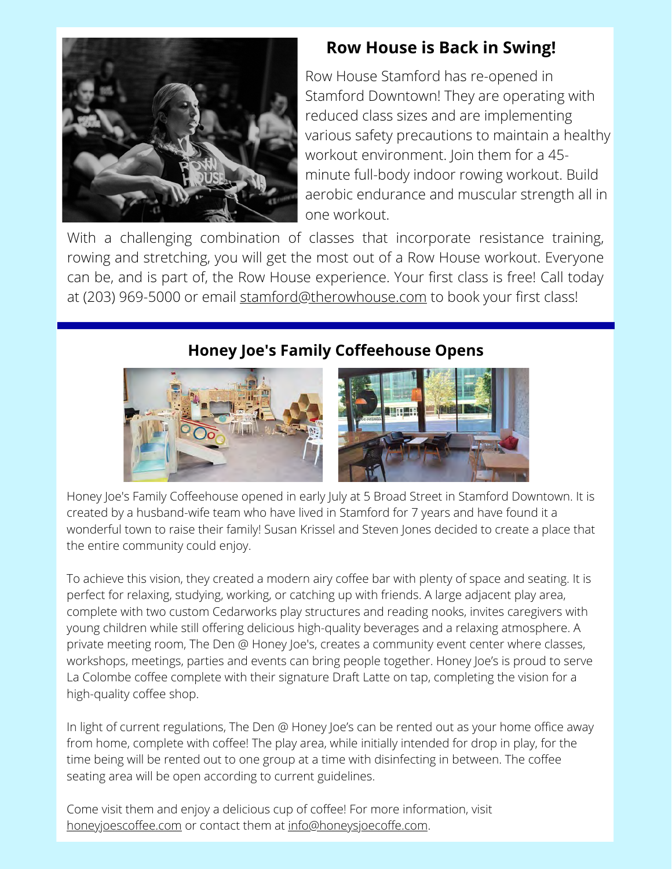

## **Row House is Back in Swing!**

Row House Stamford has re-opened in Stamford Downtown! They are operating with reduced class sizes and are implementing various safety precautions to maintain a healthy workout environment. Join them for a 45 minute full-body indoor rowing workout. Build aerobic endurance and muscular strength all in one workout.

With a challenging combination of classes that incorporate resistance training, rowing and stretching, you will get the most out of a Row House workout. Everyone can be, and is part of, the Row House experience. Your first class is free! Call today at (203) 969-5000 or email [stamford@therowhouse.com](http://therowhouse.com/) to book your first class!

## **Honey Joe's Family Coffeehouse Opens**



Honey Joe's Family Coffeehouse opened in early July at 5 Broad Street in Stamford Downtown. It is created by a husband-wife team who have lived in Stamford for 7 years and have found it a wonderful town to raise their family! Susan Krissel and Steven Jones decided to create a place that the entire community could enjoy.

To achieve this vision, they created a modern airy coffee bar with plenty of space and seating. It is perfect for relaxing, studying, working, or catching up with friends. A large adjacent play area, complete with two custom Cedarworks play structures and reading nooks, invites caregivers with young children while still offering delicious high-quality beverages and a relaxing atmosphere. A private meeting room, The Den @ Honey Joe's, creates a community event center where classes, workshops, meetings, parties and events can bring people together. Honey Joe's is proud to serve La Colombe coffee complete with their signature Draft Latte on tap, completing the vision for a high-quality coffee shop.

In light of current regulations, The Den @ Honey Joe's can be rented out as your home office away from home, complete with coffee! The play area, while initially intended for drop in play, for the time being will be rented out to one group at a time with disinfecting in between. The coffee seating area will be open according to current guidelines.

Come visit them and enjoy a delicious cup of coffee! For more information, visit [honeyjoescoffee.com](http://www.honeyjoescoffee.com/) or contact them at [info@honeysjoecoffe.com.](http://honeysjoecoffe.com/)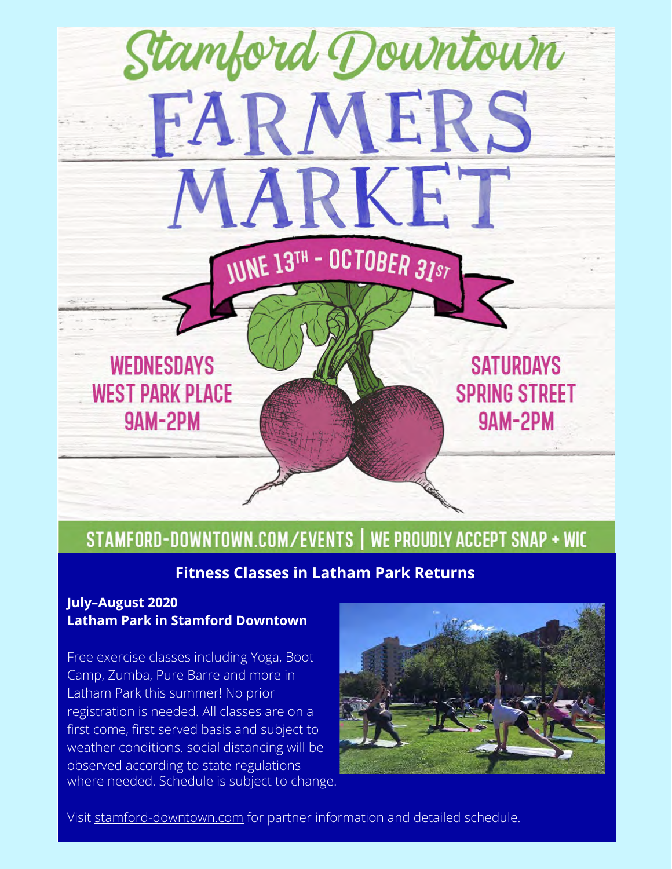

# STAMFORD-DOWNTOWN.COM/EVENTS | WE PROUDLY ACCEPT SNAP + WIC

## **Fitness Classes in Latham Park Returns**

#### **July–August 2020 Latham Park in Stamford Downtown**

Free exercise classes including Yoga, Boot Camp, Zumba, Pure Barre and more in Latham Park this summer! No prior registration is needed. All classes are on a first come, first served basis and subject to weather conditions. social distancing will be observed according to state regulations where needed. Schedule is subject to change.



Visit [stamford-downtown.com](http://stamford-downtown.com/events/fitness-classes-in-latham-park) for partner information and detailed schedule.